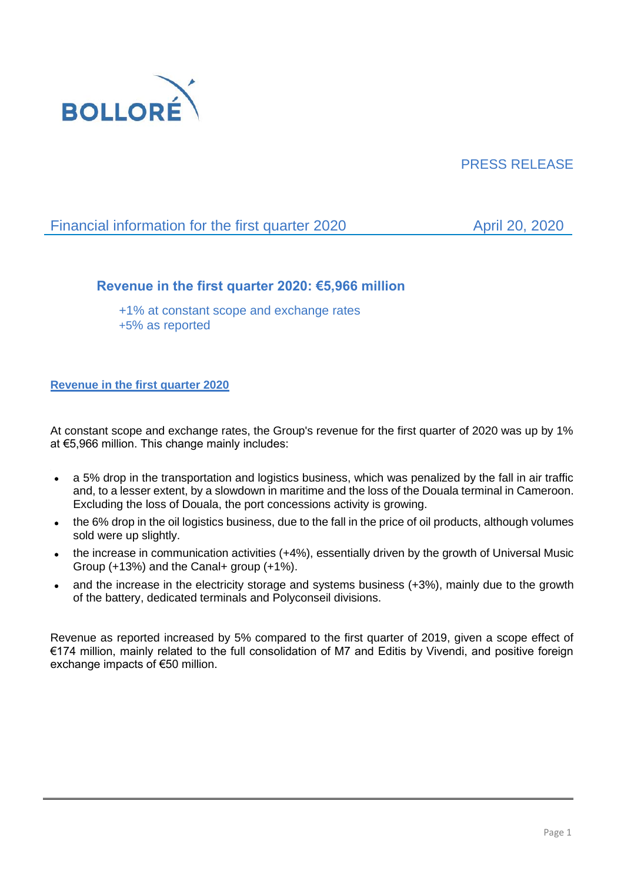

# PRESS RELEASE

# Financial information for the first quarter 2020 April 20, 2020

## **Revenue in the first quarter 2020: €5,966 million**

+1% at constant scope and exchange rates +5% as reported

## **Revenue in the first quarter 2020**

At constant scope and exchange rates, the Group's revenue for the first quarter of 2020 was up by 1% at €5,966 million. This change mainly includes:

- a 5% drop in the transportation and logistics business, which was penalized by the fall in air traffic and, to a lesser extent, by a slowdown in maritime and the loss of the Douala terminal in Cameroon. Excluding the loss of Douala, the port concessions activity is growing.
- the 6% drop in the oil logistics business, due to the fall in the price of oil products, although volumes sold were up slightly.
- the increase in communication activities (+4%), essentially driven by the growth of Universal Music Group (+13%) and the Canal+ group (+1%).
- and the increase in the electricity storage and systems business (+3%), mainly due to the growth of the battery, dedicated terminals and Polyconseil divisions.

Revenue as reported increased by 5% compared to the first quarter of 2019, given a scope effect of €174 million, mainly related to the full consolidation of M7 and Editis by Vivendi, and positive foreign exchange impacts of €50 million.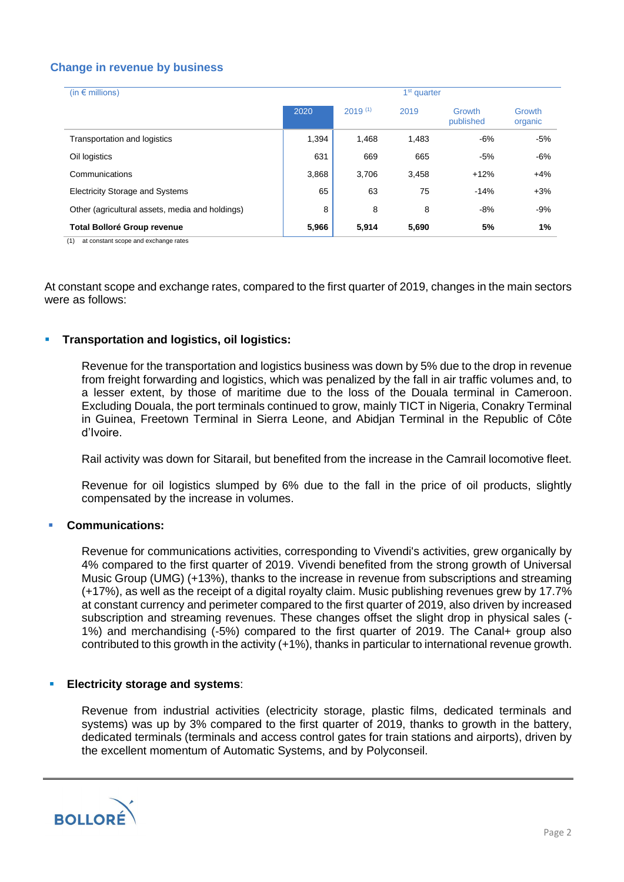## **Change in revenue by business**

| (in $\epsilon$ millions)                        | 1 <sup>st</sup> quarter |              |       |                     |                   |
|-------------------------------------------------|-------------------------|--------------|-------|---------------------|-------------------|
|                                                 | 2020                    | $2019^{(1)}$ | 2019  | Growth<br>published | Growth<br>organic |
| Transportation and logistics                    | 1,394                   | 1.468        | 1,483 | $-6%$               | $-5%$             |
| Oil logistics                                   | 631                     | 669          | 665   | $-5%$               | $-6%$             |
| Communications                                  | 3,868                   | 3,706        | 3,458 | $+12%$              | $+4%$             |
| <b>Electricity Storage and Systems</b>          | 65                      | 63           | 75    | $-14%$              | $+3%$             |
| Other (agricultural assets, media and holdings) | 8                       | 8            | 8     | $-8%$               | $-9%$             |
| <b>Total Bolloré Group revenue</b>              | 5,966                   | 5,914        | 5,690 | 5%                  | 1%                |

(1) at constant scope and exchange rates

At constant scope and exchange rates, compared to the first quarter of 2019, changes in the main sectors were as follows:

#### ▪ **Transportation and logistics, oil logistics:**

Revenue for the transportation and logistics business was down by 5% due to the drop in revenue from freight forwarding and logistics, which was penalized by the fall in air traffic volumes and, to a lesser extent, by those of maritime due to the loss of the Douala terminal in Cameroon. Excluding Douala, the port terminals continued to grow, mainly TICT in Nigeria, Conakry Terminal in Guinea, Freetown Terminal in Sierra Leone, and Abidjan Terminal in the Republic of Côte d'Ivoire.

Rail activity was down for Sitarail, but benefited from the increase in the Camrail locomotive fleet.

Revenue for oil logistics slumped by 6% due to the fall in the price of oil products, slightly compensated by the increase in volumes.

### ▪ **Communications:**

Revenue for communications activities, corresponding to Vivendi's activities, grew organically by 4% compared to the first quarter of 2019. Vivendi benefited from the strong growth of Universal Music Group (UMG) (+13%), thanks to the increase in revenue from subscriptions and streaming (+17%), as well as the receipt of a digital royalty claim. Music publishing revenues grew by 17.7% at constant currency and perimeter compared to the first quarter of 2019, also driven by increased subscription and streaming revenues. These changes offset the slight drop in physical sales (- 1%) and merchandising (-5%) compared to the first quarter of 2019. The Canal+ group also contributed to this growth in the activity (+1%), thanks in particular to international revenue growth.

#### **Electricity storage and systems:**

Revenue from industrial activities (electricity storage, plastic films, dedicated terminals and systems) was up by 3% compared to the first quarter of 2019, thanks to growth in the battery, dedicated terminals (terminals and access control gates for train stations and airports), driven by the excellent momentum of Automatic Systems, and by Polyconseil.

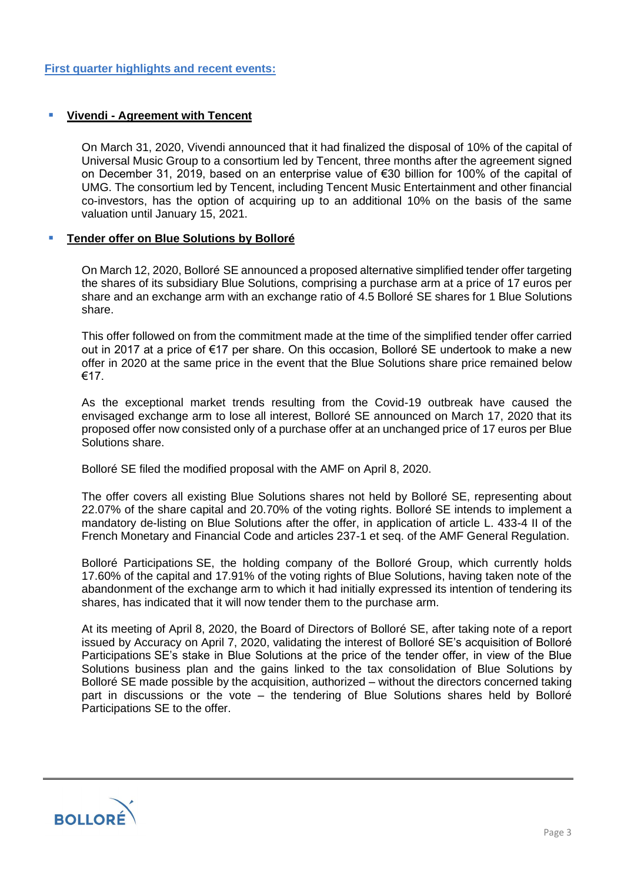## **Yivendi - Agreement with Tencent**

On March 31, 2020, Vivendi announced that it had finalized the disposal of 10% of the capital of Universal Music Group to a consortium led by Tencent, three months after the agreement signed on December 31, 2019, based on an enterprise value of €30 billion for 100% of the capital of UMG. The consortium led by Tencent, including Tencent Music Entertainment and other financial co-investors, has the option of acquiring up to an additional 10% on the basis of the same valuation until January 15, 2021.

#### **Tender offer on Blue Solutions by Bolloré**

On March 12, 2020, Bolloré SE announced a proposed alternative simplified tender offer targeting the shares of its subsidiary Blue Solutions, comprising a purchase arm at a price of 17 euros per share and an exchange arm with an exchange ratio of 4.5 Bolloré SE shares for 1 Blue Solutions share.

This offer followed on from the commitment made at the time of the simplified tender offer carried out in 2017 at a price of €17 per share. On this occasion, Bolloré SE undertook to make a new offer in 2020 at the same price in the event that the Blue Solutions share price remained below €17.

As the exceptional market trends resulting from the Covid-19 outbreak have caused the envisaged exchange arm to lose all interest, Bolloré SE announced on March 17, 2020 that its proposed offer now consisted only of a purchase offer at an unchanged price of 17 euros per Blue Solutions share.

Bolloré SE filed the modified proposal with the AMF on April 8, 2020.

The offer covers all existing Blue Solutions shares not held by Bolloré SE, representing about 22.07% of the share capital and 20.70% of the voting rights. Bolloré SE intends to implement a mandatory de-listing on Blue Solutions after the offer, in application of article L. 433-4 II of the French Monetary and Financial Code and articles 237-1 et seq. of the AMF General Regulation.

Bolloré Participations SE, the holding company of the Bolloré Group, which currently holds 17.60% of the capital and 17.91% of the voting rights of Blue Solutions, having taken note of the abandonment of the exchange arm to which it had initially expressed its intention of tendering its shares, has indicated that it will now tender them to the purchase arm.

At its meeting of April 8, 2020, the Board of Directors of Bolloré SE, after taking note of a report issued by Accuracy on April 7, 2020, validating the interest of Bolloré SE's acquisition of Bolloré Participations SE's stake in Blue Solutions at the price of the tender offer, in view of the Blue Solutions business plan and the gains linked to the tax consolidation of Blue Solutions by Bolloré SE made possible by the acquisition, authorized – without the directors concerned taking part in discussions or the vote – the tendering of Blue Solutions shares held by Bolloré Participations SE to the offer.